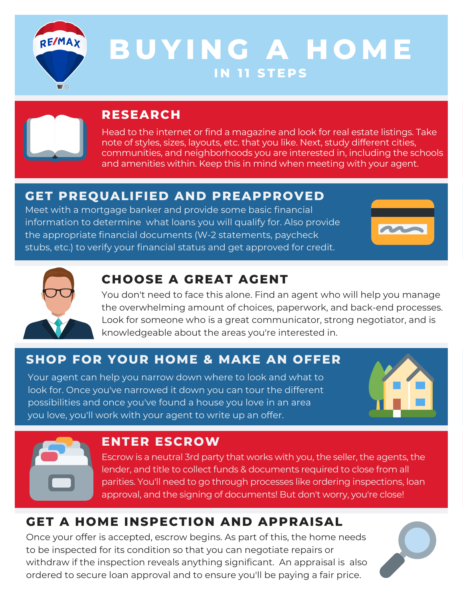

# **B U YI N G A H O M E I N 1 1 S T E P S**



# **RESEARCH**

Head to the internet or find a magazine and look for real estate listings. Take note of styles, sizes, layouts, etc. that you like. Next, study different cities, communities, and neighborhoods you are interested in, including the schools and amenities within. Keep this in mind when meeting with your agent.

# **GET PREQUALIFIED AND PREAPPROVED**

Meet with a mortgage banker and provide some basic financial information to determine what loans you will qualify for. Also provide the appropriate financial documents (W-2 statements, paycheck stubs, etc.) to verify your financial status and get approved for credit.





# **CHOOSE A GREAT AGENT**

You don't need to face this alone. Find an agent who will help you manage the overwhelming amount of choices, paperwork, and back-end processes. Look for someone who is a great communicator, strong negotiator, and is knowledgeable about the areas you're interested in.

# **SHOP FOR YOUR HOME & MAKE AN OFFER**

Your agent can help you narrow down where to look and what to look for. Once you've narrowed it down you can tour the different possibilities and once you've found a house you love in an area you love, you'll work with your agent to write up an offer.





#### **ENTER ESCROW**

Escrow is a neutral 3rd party that works with you, the seller, the agents, the lender, and title to collect funds & documents required to close from all parities. You'll need to go through processes like ordering inspections, loan approval, and the signing of documents! But don't worry, you're close!

# **GET A HOME INSPECTION AND APPRAISAL**

Once your offer is accepted, escrow begins. As part of this, the home needs to be inspected for its condition so that you can negotiate repairs or withdraw if the inspection reveals anything significant. An appraisal is also ordered to secure loan approval and to ensure you'll be paying a fair price.

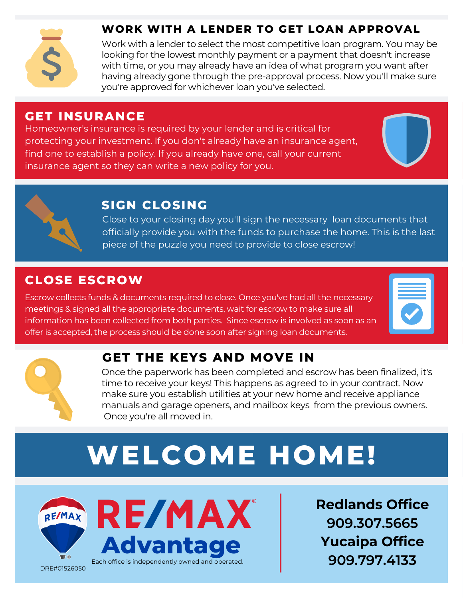

#### **WORK WITH A LENDER TO GET LOAN APPROVAL**

Work with a lender to select the most competitive loan program. You may be looking for the lowest monthly payment or a payment that doesn't increase with time, or you may already have an idea of what program you want after having already gone through the pre-approval process. Now you'll make sure you're approved for whichever loan you've selected.

#### **GET INSURANCE**

Homeowner's insurance is required by your lender and is critical for protecting your investment. If you don't already have an insurance agent, find one to establish a policy. If you already have one, call your current insurance agent so they can write a new policy for you.





## **SIGN CLOSING**

Close to your closing day you'll sign the necessary loan documents that officially provide you with the funds to purchase the home. This is the last piece of the puzzle you need to provide to close escrow!

#### **CLOSE ESCROW**

Escrow collects funds & documents required to close. Once you've had all the necessary meetings & signed all the appropriate documents, wait for escrow to make sure all information has been collected from both parties. Since escrow is involved as soon as an offer is accepted, the process should be done soon after signing loan documents.

![](_page_1_Picture_12.jpeg)

# **GET THE KEYS AND MOVE IN**

Once the paperwork has been completed and escrow has been finalized, it's time to receive your keys! This happens as agreed to in your contract. Now make sure you establish utilities at your new home and receive appliance manuals and garage openers, and mailbox keys from the previous owners. Once you're all moved in.

# **WELCOME HOME!**

![](_page_1_Picture_16.jpeg)

![](_page_1_Picture_17.jpeg)

**Redlands Office 909.307.5665 Yucaipa Office 909.797.4133**

DRE#01526050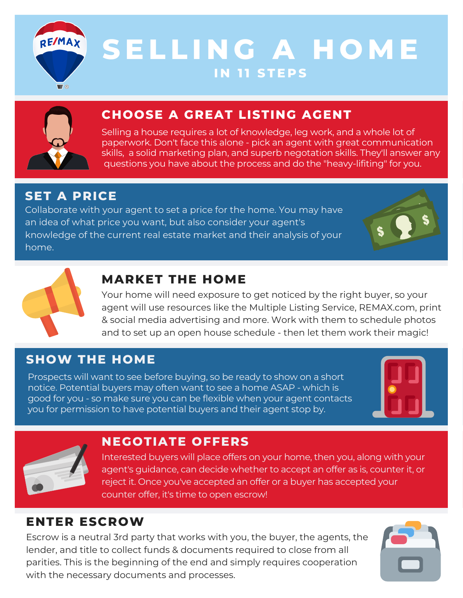![](_page_2_Picture_0.jpeg)

# **S E L L I N G A H O M E I N 1 1 S T E P S**

![](_page_2_Picture_2.jpeg)

# **CHOOSE A GREAT LISTING AGENT**

Selling a house requires a lot of knowledge, leg work, and a whole lot of paperwork. Don't face this alone - pick an agent with great communication skills, a solid marketing plan, and superb negotation skills. They'll answer any questions you have about the process and do the "heavy-lifiting" for you.

## **SET A PRICE**

Collaborate with your agent to set a price for the home. You may have an idea of what price you want, but also consider your agent's knowledge of the current real estate market and their analysis of your home.

![](_page_2_Picture_7.jpeg)

## **MARKET THE HOME**

Your home will need exposure to get noticed by the right buyer, so your agent will use resources like the Multiple Listing Service, REMAX.com, print & social media advertising and more. Work with them to schedule photos and to set up an open house schedule - then let them work their magic!

# **SHOW THE HOME**

Prospects will want to see before buying, so be ready to show on a short notice. Potential buyers may often want to see a home ASAP -which is good for you -so make sure you can be flexible when your agent contacts you for permission to have potential buyers and their agent stop by.

![](_page_2_Picture_12.jpeg)

![](_page_2_Picture_13.jpeg)

#### **NEGOTIATE OFFERS**

Interested buyers will place offers on your home, then you, along with your agent's guidance, can decide whether to accept an offer as is, counter it, or reject it. Once you've accepted an offer or a buyer has accepted your counter offer, it's time to open escrow!

#### **ENTER ESCROW**

Escrow is a neutral 3rd party that works with you, the buyer, the agents, the lender, and title to collect funds & documents required to close from all parities. This is the beginning of the end and simply requires cooperation with the necessary documents and processes.

![](_page_2_Picture_18.jpeg)